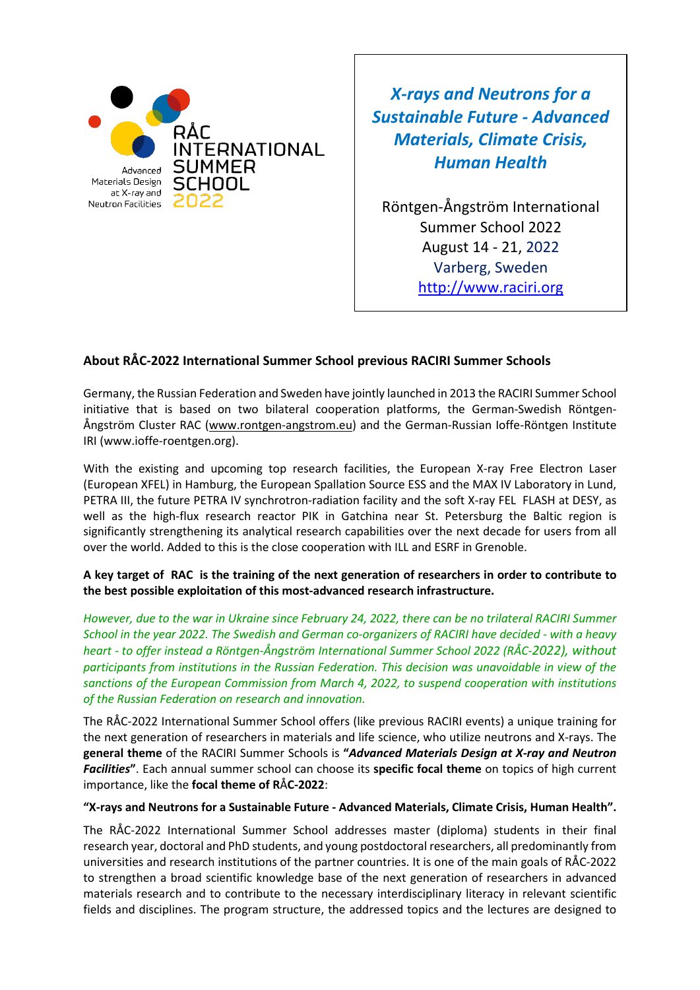

*X-rays and Neutrons for a Sustainable Future - Advanced Materials, Climate Crisis, Human Health*

Röntgen-Ångström International Summer School 2022 August 14 - 21, 2022 Varberg, Sweden [http://www.raciri.org](http://www.raciri.org/)

#### **About RÅC-2022 International Summer School previous RACIRI Summer Schools**

Germany, the Russian Federation and Sweden have jointly launched in 2013 the RACIRI Summer School initiative that is based on two bilateral cooperation platforms, the German-Swedish Röntgen-Ångström Cluster RAC [\(www.rontgen-angstrom.eu\)](http://www.rontgen-angstrom.eu/) and the German-Russian Ioffe-Röntgen Institute IRI (www.ioffe-roentgen.org).

With the existing and upcoming top research facilities, the European X-ray Free Electron Laser (European XFEL) in Hamburg, the European Spallation Source ESS and the MAX IV Laboratory in Lund, PETRA III, the future PETRA IV synchrotron-radiation facility and the soft X-ray FEL FLASH at DESY, as well as the high-flux research reactor PIK in Gatchina near St. Petersburg the Baltic region is significantly strengthening its analytical research capabilities over the next decade for users from all over the world. Added to this is the close cooperation with ILL and ESRF in Grenoble.

#### **A key target of RAC is the training of the next generation of researchers in order to contribute to the best possible exploitation of this most-advanced research infrastructure.**

*However, due to the war in Ukraine since February 24, 2022, there can be no trilateral RACIRI Summer School in the year 2022. The Swedish and German co-organizers of RACIRI have decided - with a heavy heart - to offer instead a Röntgen-Ångström International Summer School 2022 (RÅC-2022), without participants from institutions in the Russian Federation. This decision was unavoidable in view of the sanctions of the European Commission from March 4, 2022, to suspend cooperation with institutions of the Russian Federation on research and innovation.*

The RÅC-2022 International Summer School offers (like previous RACIRI events) a unique training for the next generation of researchers in materials and life science, who utilize neutrons and X-rays. The **general theme** of the RACIRI Summer Schools is **"***Advanced Materials Design at X-ray and Neutron Facilities***"**. Each annual summer school can choose its **specific focal theme** on topics of high current importance, like the **focal theme of R**Å**C-2022**:

#### **"X-rays and Neutrons for a Sustainable Future - Advanced Materials, Climate Crisis, Human Health".**

The RÅC-2022 International Summer School addresses master (diploma) students in their final research year, doctoral and PhD students, and young postdoctoral researchers, all predominantly from universities and research institutions of the partner countries. It is one of the main goals of RÅC-2022 to strengthen a broad scientific knowledge base of the next generation of researchers in advanced materials research and to contribute to the necessary interdisciplinary literacy in relevant scientific fields and disciplines. The program structure, the addressed topics and the lectures are designed to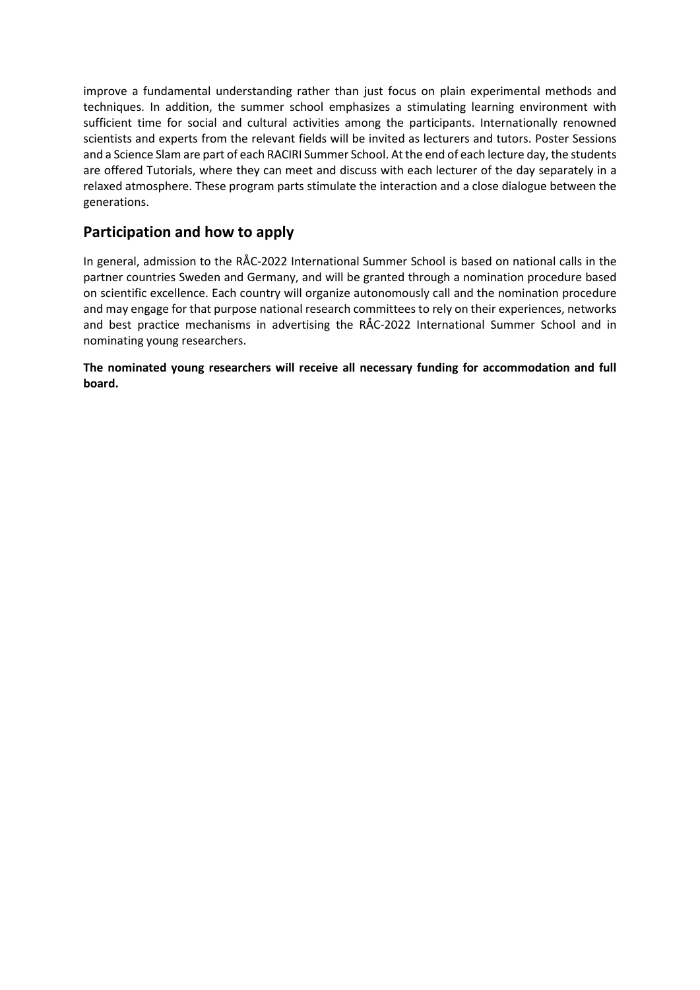improve a fundamental understanding rather than just focus on plain experimental methods and techniques. In addition, the summer school emphasizes a stimulating learning environment with sufficient time for social and cultural activities among the participants. Internationally renowned scientists and experts from the relevant fields will be invited as lecturers and tutors. Poster Sessions and a Science Slam are part of each RACIRI Summer School. At the end of each lecture day, the students are offered Tutorials, where they can meet and discuss with each lecturer of the day separately in a relaxed atmosphere. These program parts stimulate the interaction and a close dialogue between the generations.

## **Participation and how to apply**

In general, admission to the RÅC-2022 International Summer School is based on national calls in the partner countries Sweden and Germany, and will be granted through a nomination procedure based on scientific excellence. Each country will organize autonomously call and the nomination procedure and may engage for that purpose national research committees to rely on their experiences, networks and best practice mechanisms in advertising the RÅC-2022 International Summer School and in nominating young researchers.

**The nominated young researchers will receive all necessary funding for accommodation and full board.**